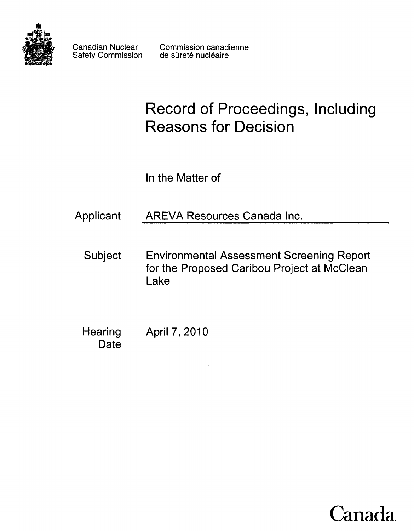

Safety Commission

Canadian Nuclear Commission canadienne<br>Safety Commission de sûreté nucléaire

# **Record of Proceedings, Including Reasons for Decision**

In the Matter of

**Applicant AREVA Resources Canada Inc.** 

**Subject Environmental Assessment Screening Report for the Proposed Caribou Project at McClean Lake**

**Hearing April 7, 2010 Date**

**Canada**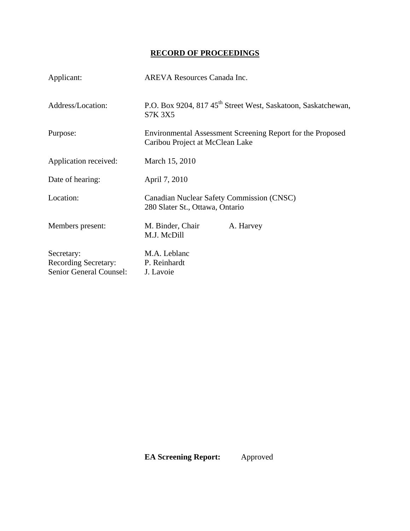## **RECORD OF PROCEEDINGS**

| Applicant:                                                           | <b>AREVA Resources Canada Inc.</b>                                                            |
|----------------------------------------------------------------------|-----------------------------------------------------------------------------------------------|
| Address/Location:                                                    | P.O. Box 9204, 817 45 <sup>th</sup> Street West, Saskatoon, Saskatchewan,<br><b>S7K 3X5</b>   |
| Purpose:                                                             | Environmental Assessment Screening Report for the Proposed<br>Caribou Project at McClean Lake |
| Application received:                                                | March 15, 2010                                                                                |
| Date of hearing:                                                     | April 7, 2010                                                                                 |
| Location:                                                            | Canadian Nuclear Safety Commission (CNSC)<br>280 Slater St., Ottawa, Ontario                  |
| Members present:                                                     | M. Binder, Chair<br>A. Harvey<br>M.J. McDill                                                  |
| Secretary:<br><b>Recording Secretary:</b><br>Senior General Counsel: | M.A. Leblanc<br>P. Reinhardt<br>J. Lavoie                                                     |

 **EA Screening Report:** Approved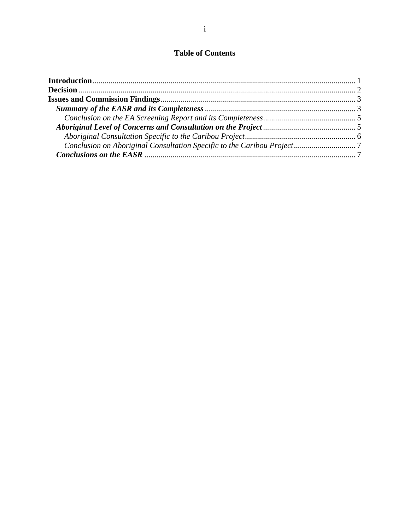### **Table of Contents**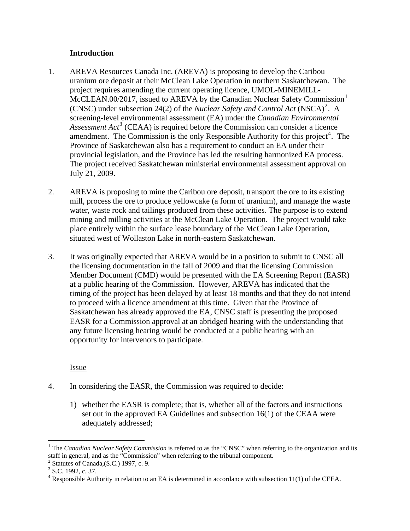#### **Introduction**

- <span id="page-3-0"></span>1. AREVA Resources Canada Inc. (AREVA) is proposing to develop the Caribou uranium ore deposit at their McClean Lake Operation in northern Saskatchewan. The project requires amending the current operating licence, UMOL-MINEMILL-McCLEAN.00/20[1](#page-3-1)7, issued to AREVA by the Canadian Nuclear Safety Commission<sup>1</sup> (CNSC) under subsection [2](#page-3-2)4(2) of the *Nuclear Safety and Control Act*  $(NSCA)^2$ . A screening-level environmental assessment (EA) under the *Canadian Environmental*  Assessment Act<sup>[3](#page-3-3)</sup> (CEAA) is required before the Commission can consider a licence amendment. The Commission is the only Responsible Authority for this project<sup>[4](#page-3-4)</sup>. The Province of Saskatchewan also has a requirement to conduct an EA under their provincial legislation, and the Province has led the resulting harmonized EA process. The project received Saskatchewan ministerial environmental assessment approval on July 21, 2009.
- 2. AREVA is proposing to mine the Caribou ore deposit, transport the ore to its existing mill, process the ore to produce yellowcake (a form of uranium), and manage the waste water, waste rock and tailings produced from these activities. The purpose is to extend mining and milling activities at the McClean Lake Operation. The project would take place entirely within the surface lease boundary of the McClean Lake Operation, situated west of Wollaston Lake in north-eastern Saskatchewan.
- 3. It was originally expected that AREVA would be in a position to submit to CNSC all the licensing documentation in the fall of 2009 and that the licensing Commission Member Document (CMD) would be presented with the EA Screening Report (EASR) at a public hearing of the Commission. However, AREVA has indicated that the timing of the project has been delayed by at least 18 months and that they do not intend to proceed with a licence amendment at this time. Given that the Province of Saskatchewan has already approved the EA, CNSC staff is presenting the proposed EASR for a Commission approval at an abridged hearing with the understanding that any future licensing hearing would be conducted at a public hearing with an opportunity for intervenors to participate.

Issue

- 4. In considering the EASR, the Commission was required to decide:
	- 1) whether the EASR is complete; that is, whether all of the factors and instructions set out in the approved EA Guidelines and subsection 16(1) of the CEAA were adequately addressed;

 $\overline{a}$ 

<span id="page-3-1"></span><sup>&</sup>lt;sup>1</sup> The *Canadian Nuclear Safety Commission* is referred to as the "CNSC" when referring to the organization and its staff in general, and as the "Commission" when referring to the tribunal component.

<span id="page-3-2"></span> $2$  Statutes of Canada, (S.C.) 1997, c. 9.

<span id="page-3-3"></span> $3$  S.C. 1992, c. 37.

<span id="page-3-4"></span> $4$  Responsible Authority in relation to an EA is determined in accordance with subsection 11(1) of the CEEA.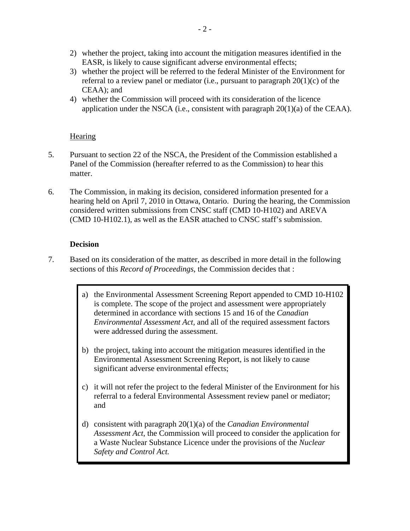- <span id="page-4-0"></span>2) whether the project, taking into account the mitigation measures identified in the EASR, is likely to cause significant adverse environmental effects;
- 3) whether the project will be referred to the federal Minister of the Environment for referral to a review panel or mediator (i.e., pursuant to paragraph  $20(1)(c)$  of the CEAA); and
- 4) whether the Commission will proceed with its consideration of the licence application under the NSCA (i.e., consistent with paragraph 20(1)(a) of the CEAA).

#### **Hearing**

- 5. Pursuant to section 22 of the NSCA, the President of the Commission established a Panel of the Commission (hereafter referred to as the Commission) to hear this matter.
- 6. The Commission, in making its decision, considered information presented for a hearing held on April 7, 2010 in Ottawa, Ontario. During the hearing, the Commission considered written submissions from CNSC staff (CMD 10-H102) and AREVA (CMD 10-H102.1), as well as the EASR attached to CNSC staff's submission.

#### **Decision**

- 7. Based on its consideration of the matter, as described in more detail in the following sections of this *Record of Proceedings*, the Commission decides that :
	- a) the Environmental Assessment Screening Report appended to CMD 10-H102 is complete. The scope of the project and assessment were appropriately determined in accordance with sections 15 and 16 of the *Canadian Environmental Assessment Act,* and all of the required assessment factors were addressed during the assessment.
	- b) the project, taking into account the mitigation measures identified in the Environmental Assessment Screening Report, is not likely to cause significant adverse environmental effects;
	- c) it will not refer the project to the federal Minister of the Environment for his referral to a federal Environmental Assessment review panel or mediator; and
	- d) consistent with paragraph 20(1)(a) of the *Canadian Environmental Assessment Act*, the Commission will proceed to consider the application for a Waste Nuclear Substance Licence under the provisions of the *Nuclear Safety and Control Act.*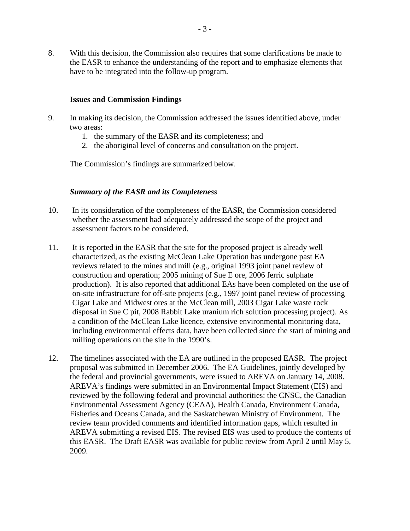<span id="page-5-0"></span>8. With this decision, the Commission also requires that some clarifications be made to the EASR to enhance the understanding of the report and to emphasize elements that have to be integrated into the follow-up program.

#### **Issues and Commission Findings**

- 9. In making its decision, the Commission addressed the issues identified above, under two areas:
	- 1. the summary of the EASR and its completeness; and
	- 2. the aboriginal level of concerns and consultation on the project.

The Commission's findings are summarized below.

#### *Summary of the EASR and its Completeness*

- 10. In its consideration of the completeness of the EASR, the Commission considered whether the assessment had adequately addressed the scope of the project and assessment factors to be considered.
- 11. It is reported in the EASR that the site for the proposed project is already well characterized, as the existing McClean Lake Operation has undergone past EA reviews related to the mines and mill (e.g., original 1993 joint panel review of construction and operation; 2005 mining of Sue E ore, 2006 ferric sulphate production). It is also reported that additional EAs have been completed on the use of on-site infrastructure for off-site projects (e.g., 1997 joint panel review of processing Cigar Lake and Midwest ores at the McClean mill, 2003 Cigar Lake waste rock disposal in Sue C pit, 2008 Rabbit Lake uranium rich solution processing project). As a condition of the McClean Lake licence, extensive environmental monitoring data, including environmental effects data, have been collected since the start of mining and milling operations on the site in the 1990's.
- 12. The timelines associated with the EA are outlined in the proposed EASR. The project proposal was submitted in December 2006. The EA Guidelines, jointly developed by the federal and provincial governments, were issued to AREVA on January 14, 2008. AREVA's findings were submitted in an Environmental Impact Statement (EIS) and reviewed by the following federal and provincial authorities: the CNSC, the Canadian Environmental Assessment Agency (CEAA), Health Canada, Environment Canada, Fisheries and Oceans Canada, and the Saskatchewan Ministry of Environment. The review team provided comments and identified information gaps, which resulted in AREVA submitting a revised EIS. The revised EIS was used to produce the contents of this EASR. The Draft EASR was available for public review from April 2 until May 5, 2009.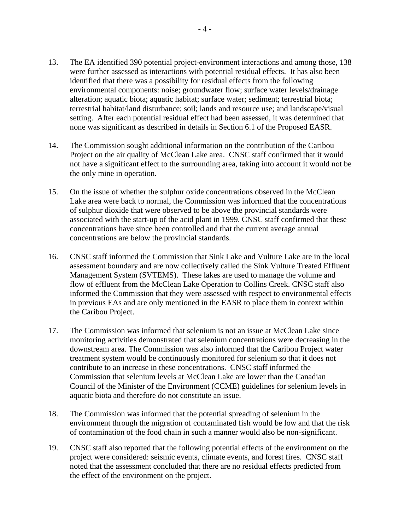- 13. The EA identified 390 potential project-environment interactions and among those, 138 were further assessed as interactions with potential residual effects. It has also been identified that there was a possibility for residual effects from the following environmental components: noise; groundwater flow; surface water levels/drainage alteration; aquatic biota; aquatic habitat; surface water; sediment; terrestrial biota; terrestrial habitat/land disturbance; soil; lands and resource use; and landscape/visual setting. After each potential residual effect had been assessed, it was determined that none was significant as described in details in Section 6.1 of the Proposed EASR.
- 14. The Commission sought additional information on the contribution of the Caribou Project on the air quality of McClean Lake area. CNSC staff confirmed that it would not have a significant effect to the surrounding area, taking into account it would not be the only mine in operation.
- 15. On the issue of whether the sulphur oxide concentrations observed in the McClean Lake area were back to normal, the Commission was informed that the concentrations of sulphur dioxide that were observed to be above the provincial standards were associated with the start-up of the acid plant in 1999. CNSC staff confirmed that these concentrations have since been controlled and that the current average annual concentrations are below the provincial standards.
- 16. CNSC staff informed the Commission that Sink Lake and Vulture Lake are in the local assessment boundary and are now collectively called the Sink Vulture Treated Effluent Management System (SVTEMS). These lakes are used to manage the volume and flow of effluent from the McClean Lake Operation to Collins Creek. CNSC staff also informed the Commission that they were assessed with respect to environmental effects in previous EAs and are only mentioned in the EASR to place them in context within the Caribou Project.
- 17. The Commission was informed that selenium is not an issue at McClean Lake since monitoring activities demonstrated that selenium concentrations were decreasing in the downstream area. The Commission was also informed that the Caribou Project water treatment system would be continuously monitored for selenium so that it does not contribute to an increase in these concentrations. CNSC staff informed the Commission that selenium levels at McClean Lake are lower than the Canadian Council of the Minister of the Environment (CCME) guidelines for selenium levels in aquatic biota and therefore do not constitute an issue.
- 18. The Commission was informed that the potential spreading of selenium in the environment through the migration of contaminated fish would be low and that the risk of contamination of the food chain in such a manner would also be non-significant.
- 19. CNSC staff also reported that the following potential effects of the environment on the project were considered: seismic events, climate events, and forest fires. CNSC staff noted that the assessment concluded that there are no residual effects predicted from the effect of the environment on the project.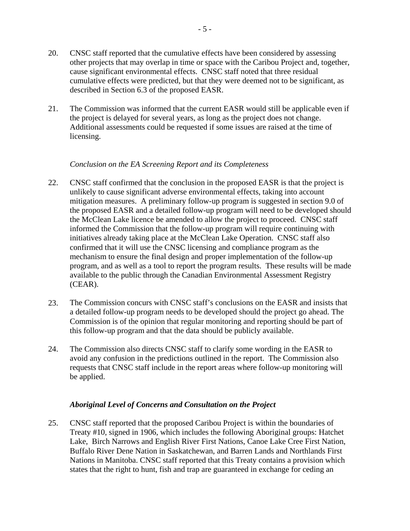- <span id="page-7-0"></span>20. CNSC staff reported that the cumulative effects have been considered by assessing other projects that may overlap in time or space with the Caribou Project and, together, cause significant environmental effects. CNSC staff noted that three residual cumulative effects were predicted, but that they were deemed not to be significant, as described in Section 6.3 of the proposed EASR.
- 21. The Commission was informed that the current EASR would still be applicable even if the project is delayed for several years, as long as the project does not change. Additional assessments could be requested if some issues are raised at the time of licensing.

#### *Conclusion on the EA Screening Report and its Completeness*

- 22. CNSC staff confirmed that the conclusion in the proposed EASR is that the project is unlikely to cause significant adverse environmental effects, taking into account mitigation measures. A preliminary follow-up program is suggested in section 9.0 of the proposed EASR and a detailed follow-up program will need to be developed should the McClean Lake licence be amended to allow the project to proceed. CNSC staff informed the Commission that the follow-up program will require continuing with initiatives already taking place at the McClean Lake Operation. CNSC staff also confirmed that it will use the CNSC licensing and compliance program as the mechanism to ensure the final design and proper implementation of the follow-up program, and as well as a tool to report the program results. These results will be made available to the public through the Canadian Environmental Assessment Registry (CEAR).
- 23. The Commission concurs with CNSC staff's conclusions on the EASR and insists that a detailed follow-up program needs to be developed should the project go ahead. The Commission is of the opinion that regular monitoring and reporting should be part of this follow-up program and that the data should be publicly available.
- 24. The Commission also directs CNSC staff to clarify some wording in the EASR to avoid any confusion in the predictions outlined in the report. The Commission also requests that CNSC staff include in the report areas where follow-up monitoring will be applied.

#### *Aboriginal Level of Concerns and Consultation on the Project*

25. CNSC staff reported that the proposed Caribou Project is within the boundaries of Treaty #10, signed in 1906, which includes the following Aboriginal groups: Hatchet Lake, Birch Narrows and English River First Nations, Canoe Lake Cree First Nation, Buffalo River Dene Nation in Saskatchewan, and Barren Lands and Northlands First Nations in Manitoba. CNSC staff reported that this Treaty contains a provision which states that the right to hunt, fish and trap are guaranteed in exchange for ceding an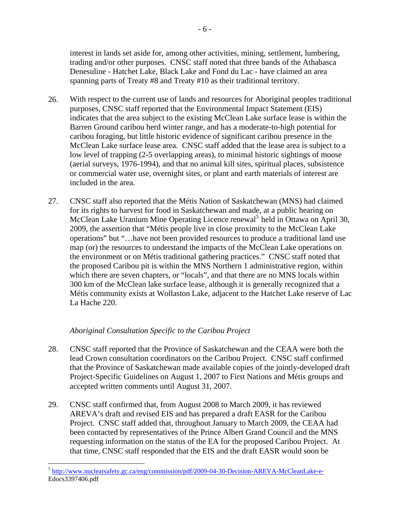<span id="page-8-0"></span>interest in lands set aside for, among other activities, mining, settlement, lumbering, trading and/or other purposes. CNSC staff noted that three bands of the Athabasca Denesuline - Hatchet Lake, Black Lake and Fond du Lac - have claimed an area spanning parts of Treaty #8 and Treaty #10 as their traditional territory.

- 26. With respect to the current use of lands and resources for Aboriginal peoples traditional purposes, CNSC staff reported that the Environmental Impact Statement (EIS) indicates that the area subject to the existing McClean Lake surface lease is within the Barren Ground caribou herd winter range, and has a moderate-to-high potential for caribou foraging, but little historic evidence of significant caribou presence in the McClean Lake surface lease area. CNSC staff added that the lease area is subject to a low level of trapping (2-5 overlapping areas), to minimal historic sightings of moose (aerial surveys, 1976-1994), and that no animal kill sites, spiritual places, subsistence or commercial water use, overnight sites, or plant and earth materials of interest are included in the area.
- 27. CNSC staff also reported that the Métis Nation of Saskatchewan (MNS) had claimed for its rights to harvest for food in Saskatchewan and made, at a public hearing on McClean Lake Uranium Mine Operating Licence renewal<sup>[5](#page-8-1)</sup> held in Ottawa on April 30, 2009, the assertion that "Métis people live in close proximity to the McClean Lake operations" but "…have not been provided resources to produce a traditional land use map (or) the resources to understand the impacts of the McClean Lake operations on the environment or on Métis traditional gathering practices." CNSC staff noted that the proposed Caribou pit is within the MNS Northern 1 administrative region, within which there are seven chapters, or "locals", and that there are no MNS locals within 300 km of the McClean lake surface lease, although it is generally recognized that a Métis community exists at Wollaston Lake, adjacent to the Hatchet Lake reserve of Lac La Hache 220.

#### *Aboriginal Consultation Specific to the Caribou Project*

 $\overline{a}$ 

- 28. CNSC staff reported that the Province of Saskatchewan and the CEAA were both the lead Crown consultation coordinators on the Caribou Project. CNSC staff confirmed that the Province of Saskatchewan made available copies of the jointly-developed draft Project-Specific Guidelines on August 1, 2007 to First Nations and Métis groups and accepted written comments until August 31, 2007.
- 29. CNSC staff confirmed that, from August 2008 to March 2009, it has reviewed AREVA's draft and revised EIS and has prepared a draft EASR for the Caribou Project. CNSC staff added that, throughout January to March 2009, the CEAA had been contacted by representatives of the Prince Albert Grand Council and the MNS requesting information on the status of the EA for the proposed Caribou Project. At that time, CNSC staff responded that the EIS and the draft EASR would soon be

<span id="page-8-1"></span><sup>&</sup>lt;sup>5</sup> <http://www.nuclearsafety.gc.ca/eng/commission/pdf/2009-04-30-Decision-AREVA-McCleanLake-e->Edocs3397406.pdf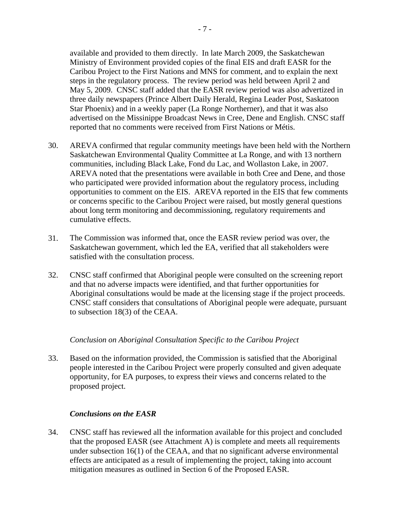<span id="page-9-0"></span>available and provided to them directly. In late March 2009, the Saskatchewan Ministry of Environment provided copies of the final EIS and draft EASR for the Caribou Project to the First Nations and MNS for comment, and to explain the next steps in the regulatory process. The review period was held between April 2 and May 5, 2009. CNSC staff added that the EASR review period was also advertized in three daily newspapers (Prince Albert Daily Herald, Regina Leader Post, Saskatoon Star Phoenix) and in a weekly paper (La Ronge Northerner), and that it was also advertised on the Missinippe Broadcast News in Cree, Dene and English. CNSC staff reported that no comments were received from First Nations or Métis.

- 30. AREVA confirmed that regular community meetings have been held with the Northern Saskatchewan Environmental Quality Committee at La Ronge, and with 13 northern communities, including Black Lake, Fond du Lac, and Wollaston Lake, in 2007. AREVA noted that the presentations were available in both Cree and Dene, and those who participated were provided information about the regulatory process, including opportunities to comment on the EIS. AREVA reported in the EIS that few comments or concerns specific to the Caribou Project were raised, but mostly general questions about long term monitoring and decommissioning, regulatory requirements and cumulative effects.
- 31. The Commission was informed that, once the EASR review period was over, the Saskatchewan government, which led the EA, verified that all stakeholders were satisfied with the consultation process.
- 32. CNSC staff confirmed that Aboriginal people were consulted on the screening report and that no adverse impacts were identified, and that further opportunities for Aboriginal consultations would be made at the licensing stage if the project proceeds. CNSC staff considers that consultations of Aboriginal people were adequate, pursuant to subsection 18(3) of the CEAA.

#### *Conclusion on Aboriginal Consultation Specific to the Caribou Project*

33. Based on the information provided, the Commission is satisfied that the Aboriginal people interested in the Caribou Project were properly consulted and given adequate opportunity, for EA purposes, to express their views and concerns related to the proposed project.

#### *Conclusions on the EASR*

34. CNSC staff has reviewed all the information available for this project and concluded that the proposed EASR (see Attachment A) is complete and meets all requirements under subsection 16(1) of the CEAA, and that no significant adverse environmental effects are anticipated as a result of implementing the project, taking into account mitigation measures as outlined in Section 6 of the Proposed EASR.